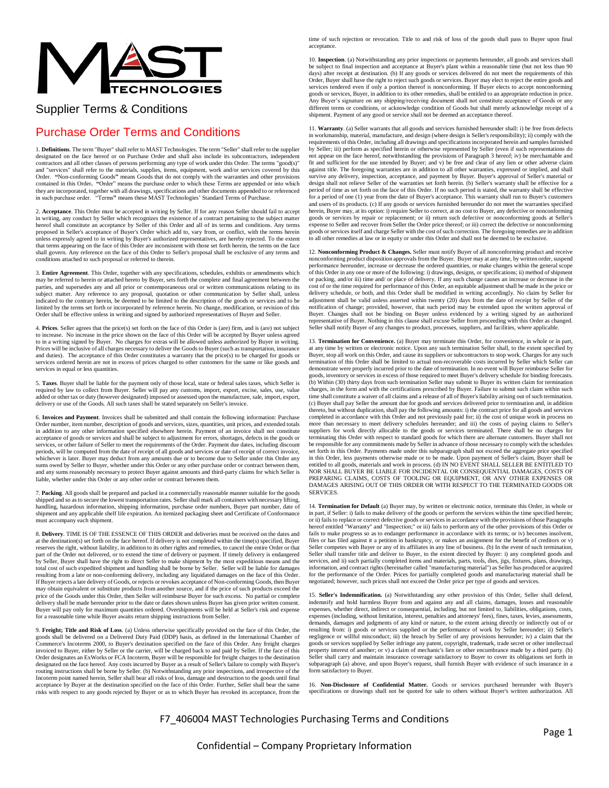

## Supplier Terms & Conditions

## Purchase Order Terms and Conditions

1. **Definitions**. The term "Buyer" shall refer to MAST Technologies. The term "Seller" shall refer to the supplier designated on the face hereof or on Purchase Order and shall also include its subcontractors, independent contractors and all other classes of persons performing any type of work under this Order. The terms "good(s)" and "services" shall refer to the materials, supplies, items, equipment, work and/or services covered by this<br>Order. "Non-conforming Goods" means Goods that do not comply with the warranties and other provisions<br>contained they are incorporated, together with all drawings, specifications and other documents appended to or referenced in such purchase order. "Terms**"** means these MAST Technologies' Standard Terms of Purchase.

2. Acceptance. This Order must be accepted in writing by Seller. If for any reason Seller should fail to accept<br>in writing, any conduct by Seller which recognizes the existence of a contract pertaining to the subject matte hereof shall constitute an acceptance by Seller of this Order and all of its terms and conditions. Any terms proposed in Seller's acceptance of Buyer's Order which add to, vary from, or conflict, with the terms herein unless expressly agreed to in writing by Buyer's authorized representatives, are hereby rejected. To the extent that terms appearing on the face of this Order are inconsistent with those set forth herein, the terms on the face<br>shall govern. Any reference on the face of this Order to Seller's proposal shall be exclusive of any terms conditions attached to such proposal or referred to therein.

3. **Entire Agreement**. This Order, together with any specifications, schedules, exhibits or amendments which may be referred to herein or attached hereto by Buyer, sets forth the complete and final agreement between the parties, and supersedes any and all prior or contemporaneous oral or written communications relating to its subject matter. Any reference to any proposal, quotation or other communication by Seller shall, unless subject indicated to the contrary herein, be deemed to be limited to the description of the goods or services and to be<br>limited by the terms set forth or incorporated by reference herein. No change, modification, or revision of th Order shall be effective unless in writing and signed by authorized representatives of Buyer and Seller.

4. **Prices**. Seller agrees that the price(s) set forth on the face of this Order is (are) firm, and is (are) not subject to increase. No increase in the price shown on the face of this Order will be accepted by Buyer unless agreed to in a writing signed by Buyer. No charges for extras will be allowed unless authorized by Buyer in writing. Prices will be inclusive of all charges necessary to deliver the Goods to Buyer (such as transportation, insurance and duties). The acceptance of this Order constitutes a warranty that the price(s) to be charged for goods or services ordered herein are not in excess of prices charged to other customers for the same or like goods and services in equal or less quantities.

5. **Taxes**. Buyer shall be liable for the payment only of those local, state or federal sales taxes, which Seller is required by law to collect from Buyer. Seller will pay any customs, import, export, excise, sales, use, value added or other tax or duty (however designated) imposed or assessed upon the manufacture, sale, import, export, delivery or use of the Goods. All such taxes shall be stated separately on Seller's invoice.

6. **Invoices and Payment**. Invoices shall be submitted and shall contain the following information: Purchase Order number, item number, description of goods and services, sizes, quantities, unit prices, and extended totals in addition to any other information specified elsewhere herein. Payment of an invoice shall not constitute acceptance of goods or services and shall be subject to adjustment for errors, shortages, defects in the goods or services, or other failure of Seller to meet the requirements of the Order. Payment due dates, including discount<br>periods, will be computed from the date of receipt of all goods and services or date of receipt of correct i whichever is later. Buyer may deduct from any amounts due or to become due to Seller under this Order any sums owed by Seller to Buyer, whether under this Order or any other purchase order or contract between them, and any sums reasonably necessary to protect Buyer against amounts and third-party claims for which Seller is liable, whether under this Order or any other order or contract between them.

7. **Packing**. All goods shall be prepared and packed in a commercially reasonable manner suitable for the goods shipped and so as to secure the lowest transportation rates. Seller shall mark all containers with necessary lifting, handling, hazardous information, shipping information, purchase order numbers, Buyer part number, date of shipment and any applicable shelf life expiration. An itemized packaging sheet and Certificate of Conformance must accompany each shipment.

8. **Delivery**. TIME IS OF THE ESSENCE OF THIS ORDER and deliveries must be received on the dates and at the destination(s) set forth on the face hereof. If delivery is not completed within the time(s) specified, Buyer reserves the right, without liability, in addition to its other rights and remedies, to cancel the entire Order or that<br>part of the Order not delivered, or to extend the time of delivery or payment. If timely delivery is e by Seller, Buyer shall have the right to direct Seller to make shipment by the most expeditious means and the total cost of such expedited shipment and handling shall be borne by Seller. Seller will be liable for damages resulting from a late or non-conforming delivery, including any liquidated damages on the face of this Order. If Buyer rejects a late delivery of Goods, or rejects or revokes acceptance of Non-conforming Goods, then Buyer may obtain equivalent or substitute products from another source, and if the price of such products exceed the price of the Goods under this Order, then Seller will reimburse Buyer for such excess. No partial or complete delivery shall be made hereunder prior to the date or dates shown unless Buyer has given prior written consent. Buyer will pay only for maximum quantities ordered. Overshipments will be held at Seller's risk and expense for a reasonable time while Buyer awaits return shipping instructions from Seller.

9. **Freight; Title and Risk of Loss**. (a) Unless otherwise specifically provided on the face of this Order, the goods shall be delivered on a Delivered Duty Paid (DDP) basis, as defined in the International Chamber of Commerce's Incoterms 2000, to Buyer's destination specified on the face of this Order. Any freight charges invoiced to Buyer, either by Seller or the carrier, will be charged back to and paid by Seller. If the face of this Order designates an ExWorks or FCA Incoterm, Buyer will be responsible for freight charges to the destination designated on the face hereof. Any costs incurred by Buyer as a result of Seller's failure to comply with Buyer's routing instructions shall be borne by Seller. (b) Notwithstanding any prior inspections, and irrespective of the Incoterm point named herein, Seller shall bear all risks of loss, damage and destruction to the goods until final acceptance by Buyer at the destination specified on the face of this Order. Further, Seller shall bear the same risks with respect to any goods rejected by Buyer or as to which Buyer has revoked its acceptance, from the

time of such rejection or revocation. Title to and risk of loss of the goods shall pass to Buyer upon final acceptance.

10. **Inspection**. (a) Notwithstanding any prior inspections or payments hereunder, all goods and services shall be subject to final inspection and acceptance at Buyer's plant within a reasonable time (but not less than 90 days) after receipt at destination. (b) If any goods or services delivered do not meet the requirements of this Order, Buyer shall have the right to reject such goods or services. Buyer may elect to reject the entire goods and services tendered even if only a portion thereof is nonconforming. If Buyer elects to accept nonconforming goods or services, Buyer, in addition to its other remedies, shall be entitled to an appropriate reduction in price. Any Buyer's signature on any shipping/receiving document shall not constitute acceptance of Goods or any different terms or conditions, or acknowledge condition of Goods but shall merely acknowledge receipt of a shipment. Payment of any good or service shall not be deemed an acceptance thereof.

11. **Warranty**. (a) Seller warrants that all goods and services furnished hereunder shall: i) be free from defects in workmanship, material, manufacture, and design (where design is Seller's responsibility); ii) comply with the requirements of this Order, including all drawings and specifications incorporated herein and samples furnished by Seller; iii) perform as specified herein or otherwise represented by Seller (even if such representations do not appear on the face hereof, notwithstanding the provisions of Paragraph 3 hereof; iv) be merchantable and fit and sufficient for the use intended by Buyer; and v) be free and clear of any lien or other adverse claim against title. The foregoing warranties are in addition to all other warranties, expressed or implied, and shall survive any delivery, inspection, acceptance, and payment by Buyer. Buyer's approval of Seller's material or design shall not relieve Seller of the warranties set forth herein. (b) Seller's warranty shall be effective for a period of time as set forth on the face of this Order. If no such period is stated, the warranty shall be effective<br>for a period of one (1) year from the date of Buyer's acceptance. This warranty shall run to Buyer's custo goods or services by repair or replacement; or ii) return such defective or nonconforming goods at Seller's expense to Seller and recover from Seller the Order price thereof; or iii) correct the defective or nonconforming goods or services itself and charge Seller with the cost of such correction. The foregoing remedies are in addition to all other remedies at law or in equity or under this Order and shall not be deemed to be exclusive.

12. **Nonconforming Product & Changes.** Seller must notify Buyer of all nonconforming product and receive nonconforming product disposition approvals from the Buyer. Buyer may at any time, by written order, suspend performance hereunder, increase or decrease the ordered quantities, or make changes within the general scope of this Order in any one or more of the following: i) drawings, designs, or specifications; ii) method of shipment or packing, and/or iii) time and/ or place of delivery. If any such change causes an increase or decrease in the<br>cost of or the time required for performance of this Order, an equitable adjustment shall be made in the pric delivery schedule, or both, and this Order shall be modified in writing accordingly. No claim by Seller for adjustment shall be valid unless asserted within twenty (20) days from the date of receipt by Seller of the notification of change; provided, however, that such period may be extended upon the written approval of Buyer. Changes shall not be binding on Buyer unless evidenced by a writing signed by an authorized representative of Buyer. Nothing in this clause shall excuse Seller from proceeding with this Order as changed. Seller shall notify Buyer of any changes to product, processes, suppliers, and facilities, where applicable.

13. **Termination for Convenience.** (a) Buyer may terminate this Order, for convenience, in whole or in part, at any time by written or electronic notice. Upon any such termination Seller shall, to the extent specified by<br>Buyer, stop all work on this Order, and cause its suppliers or subcontractors to stop work. Charges for any su termination of this Order shall be limited to actual non-recoverable costs incurred by Seller which Seller can demonstrate were properly incurred prior to the date of termination. In no event will Buyer reimburse Seller for goods, inventory or services in excess of those required to meet Buyer's delivery schedule for binding forecasts. (b) Within (30) thirty days from such termination Seller may submit to Buyer its written claim for termination charges, in the form and with the certifications prescribed by Buyer. Failure to submit such claim within such time shall constitute a waiver of all claims and a release of all of Buyer's liability arising out of such termination. (c) Buyer shall pay Seller the amount due for goods and services delivered prior to termination and, in addition<br>thereto, but without duplication, shall pay the following amounts: i) the contract price for all goods and se completed in accordance with this Order and not previously paid for; ii) the cost of unique work in process no more than necessary to meet delivery schedules hereunder; and iii) the costs of paying claims to Seller's suppliers for work directly allocable to the goods or services terminated. There shall be no charges for terminating this Order with respect to standard goods for which there are alternate customers. Buyer shall not be responsible for any commitments made by Seller in advance of those necessary to comply with the schedules set forth in this Order. Payments made under this subparagraph shall not exceed the aggregate price specified in this Order, less payments otherwise made or to be made. Upon payment of Seller's claim, Buyer shall be entitled to all goods, materials and work in process. (d) IN NO EVENT SHALL SELLER BE ENTITLED TO NOR SHALL BUYER BE LIABLE FOR INCIDENTAL OR CONSEQUENTIAL DAMAGES, COSTS OF PREPARING CLAIMS, COSTS OF TOOLING OR EQUIPMENT, OR ANY OTHER EXPENSES OR DAMAGES ARISING OUT OF THIS ORDER OR WITH RESPECT TO THE TERMINATED GOODS OR SERVICES.

14. **Termination for Default** (a) Buyer may, by written or electronic notice, terminate this Order, in whole or in part, if Seller: i) fails to make delivery of the goods or perform the services within the time specified herein; or ii) fails to replace or correct defective goods or services in accordance with the provisions of those Paragraphs<br>hereof entitled "Warranty" and "Inspection," or iii) fails to perform any of the other provisions of this files or has filed against it a petition in bankruptcy, or makes an assignment for the benefit of creditors or v)<br>Seller competes with Buyer or any of its affiliates in any line of business. (b) In the event of such termin Seller shall transfer title and deliver to Buyer, to the extent directed by Buyer: i) any completed goods and services, and ii) such partially completed items and materials, parts, tools, dies, jigs, fixtures, plans, drawings, information, and contract rights (hereinafter called "manufacturing material") as Seller has produced or acquired for the performance of the Order. Prices for partially completed goods and manufacturing material shall be negotiated; however, such prices shall not exceed the Order price per type of goods and services.

15. **Seller's Indemnification.** (a) Notwithstanding any other provision of this Order, Seller shall defend, indemnify and hold harmless Buyer from and against any and all claims, damages, losses and reasonable expenses, whether direct, indirect or consequential, including, but not limited to, liabilities, obligations, costs, expenses (including, without limitation, interest, penalties and attorneys' fees), fines, taxes, levies, assessments,<br>demands, damages and judgments of any kind or nature, to the extent arising directly or indirectly out o resulting from: i) goods or services supplied or the performance of work by Seller hereunder; ii) Seller's negligence or willful misconduct; iii) the breach by Seller of any provisions hereunder; iv) a claim that the<br>goods or services supplied by Seller infringe any patent, copyright, trademark, trade secret or other intellectu property interest of another; or v) a claim of mechanic's lien or other encumbrance made by a third party. (b) Seller shall carry and maintain insurance coverage satisfactory to Buyer to cover its obligations set forth in subparagraph (a) above, and upon Buyer's request, shall furnish Buyer with evidence of such insurance in a form satisfactory to Buyer.

16. **Non-Disclosure of Confidential Matter.** Goods or services purchased hereunder with Buyer's specifications or drawings shall not be quoted for sale to others without Buyer's written authorization. All specifications or drawings shall not be quoted for sale to others without Buyer's written authorization. All

F7\_406004 MAST Technologies Purchasing Terms and Conditions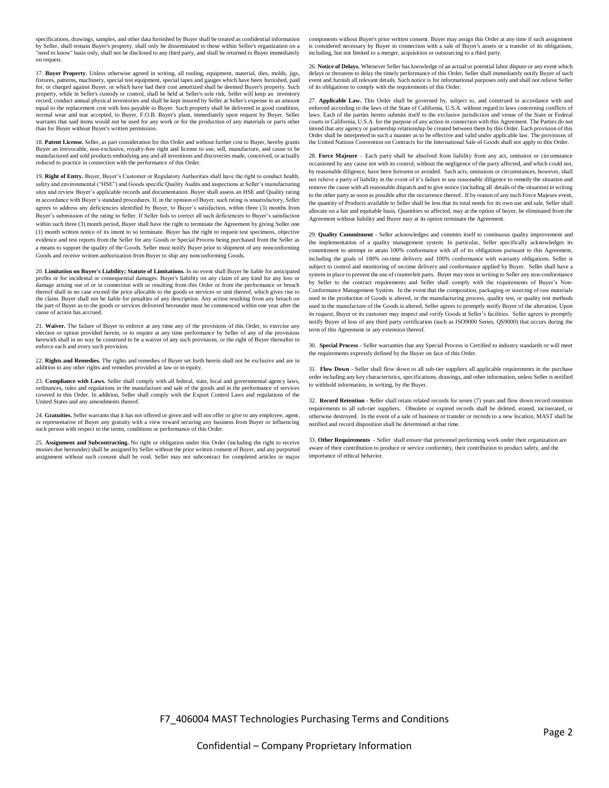specifications, drawings, samples, and other data furnished by Buyer shall be treated as confidential information by Seller, shall remain Buyer's property, shall only be disseminated to those within Seller's organization on a "need to know" basis only, shall not be disclosed to any third party, and shall be returned to Buyer immediately on request.

17. **Buyer Property.** Unless otherwise agreed in writing, all tooling, equipment, material, dies, molds, jigs, fixtures, patterns, machinery, special test equipment, special tapes and gauges which have been furnished, paid for, or charged against Buyer, or which have had their cost amortized shall be deemed Buyer's property. Such property, while in Seller's custody or control, shall be held at Seller's sole risk, Seller will keep an inventory record, conduct annual physical inventories and shall be kept insured by Seller at Seller's expense in an amount equal to the replacement cost with loss payable to Buyer. Such property shall be delivered in good condition, normal wear and tear accepted, to Buyer, F.O.B. Buyer's plant, immediately upon request by Buyer. Seller warrants that said items would not be used for any work or for the production of any materials or parts other than for Buyer without Buyer's written permission.

18. **Patent License.** Seller, as part consideration for this Order and without further cost to Buyer, hereby grants Buyer an irrevocable, non-exclusive, royalty-free right and license to use, sell, manufacture, and cause to be manufactured and sold products embodying any and all inventions and discoveries made, conceived, or actually reduced to practice in connection with the performance of this Order.

19. **Right of Entry.** Buyer, Buyer's Customer or Regulatory Authorities shall have the right to conduct health, safety and environmental ("HSE") and Goods specific Quality Audits and inspections at Seller's manufacturing sites and review Buyer's applicable records and documentation. Buyer shall assess an HSE and Quality rating in accordance with Buyer's standard procedures. If, in the opinion of Buyer, such rating is unsatisfactory, Seller agrees to address any deficiencies identified by Buyer, to Buyer's satisfaction, within three (3) months from Buyer's submission of the rating to Seller. If Seller fails to correct all such deficiencies to Buyer's satisfaction within such three (3) month period, Buyer shall have the right to terminate the Agreement by giving Seller one (1) month written notice of its intent to so terminate. Buyer has the right to request test specimens, objective evidence and test reports from the Seller for any Goods or Special Process being purchased from the Seller as a means to support the quality of the Goods. Seller must notify Buyer prior to shipment of any nonconforming Goods and receive written authorization from Buyer to ship any nonconforming Goods.

20. **Limitation on Buyer's Liability; Statute of Limitations.** In no event shall Buyer be liable for anticipated profits or for incidental or consequential damages. Buyer's liability on any claim of any kind for any loss or damage arising out of or in connection with or resulting from this Order or from the performance or breach thereof shall in no case exceed the price allocable to the goods or services or unit thereof, which gives rise to the claim. Buyer shall not be liable for penalties of any description. Any action resulting from any breach on the part of Buyer as to the goods or services delivered hereunder must be commenced within one year after the cause of action has accrued.

21. **Waiver.** The failure of Buyer to enforce at any time any of the provisions of this Order, to exercise any election or option provided herein, or to require at any time performance by Seller of any of the provisions herewith shall in no way be construed to be a waiver of any such provisions, or the right of Buyer thereafter to enforce each and every such provision.

22. **Rights and Remedies.** The rights and remedies of Buyer set forth herein shall not be exclusive and are in addition to any other rights and remedies provided at law or in equity.

23. **Compliance with Laws.** Seller shall comply with all federal, state, local and governmental agency laws, ordinances, rules and regulations in the manufacture and sale of the goods and in the performance of services covered in this Order. In addition, Seller shall comply with the Export Control Laws and regulations of the United States and any amendments thereof.

24. **Gratuities.** Seller warrants that it has not offered or given and will not offer or give to any employee, agent, or representative of Buyer any gratuity with a view toward securing any business from Buyer or influencing such person with respect to the terms, conditions or performance of this Order.

25. Assignment and Subcontracting. No right or obligation under this Order (including the right to receive<br>monies due hereunder) shall be assigned by Seller without the prior written consent of Buyer, and any purported assignment without such consent shall be void. Seller may not subcontract for completed articles or major

components without Buyer's prior written consent. Buyer may assign this Order at any time if such assignment is considered necessary by Buyer in connection with a sale of Buyer's assets or a transfer of its obligations, including, but not limited to a merger, acquisition or outsourcing to a third party.

26. **Notice of Delays.** Whenever Seller has knowledge of an actual or potential labor dispute or any event which delays or threatens to delay the timely performance of this Order, Seller shall immediately notify Buyer of such event and furnish all relevant details. Such notice is for informational purposes only and shall not relieve Seller of its obligations to comply with the requirements of this Order.

27. **Applicable Law.** This Order shall be governed by, subject to, and construed in accordance with and enforced according to the laws of the State of California, U.S.A. without regard to laws concerning conflicts of laws. Each of the parties hereto submits itself to the exclusive jurisdiction and venue of the State or Federal courts in California, U.S.A. for the purpose of any action in connection with this Agreement. The Parties do not intend that any agency or partnership relationship be created between them by this Order. Each provision of this Order shall be interpreted in such a manner as to be effective and valid under applicable law. The provisions of the United Nations Convention on Contracts for the International Sale of Goods shall not apply to this Order.

28. **Force Majeure** – Each party shall be absolved from liability from any act, omission or circumstance occasioned by any cause not with its control, without the negligence of the party affected, and which could not, by reasonable diligence, have been foreseen or avoided. Such acts, omissions or circumstances, however, shall not relieve a party of liability in the event of it's failure to use reasonable diligence to remedy the situation and remove the cause with all reasonable dispatch and to give notice (including all details of the situation) in writing to the other party as soon as possible after the occurrence thereof. If by reason of any such Force Majeure event, the quantity of Products available to Seller shall be less that its total needs for its own use and sale, Seller shall allocate on a fair and equitable basis. Quantities so affected, may at the option of buyer, be eliminated from the Agreement without liability and Buyer may at its option terminate the Agreement.

29. **Quality Commitment** - Seller acknowledges and commits itself to continuous quality improvement and the implementation of a quality management system. In particular, Seller specifically acknowledges its commitment to attempt to attain 100% conformance with all of its obligations pursuant to this Agreement, including the goals of 100% on-time delivery and 100% conformance with warranty obligations. Seller is subject to control and monitoring of on-time delivery and conformance applied by Buyer. Seller shall have a system in place to prevent the use of counterfeit parts. Buyer may note in writing to Seller any non-conformance by Seller to the contract requirements and Seller shall comply with the requirements of Buyer's Non-Conformance Management System. In the event that the composition, packaging or sourcing of raw materials used in the production of Goods is altered, or the manufacturing process, quality test, or quality test methods used in the manufacture of the Goods is altered, Seller agrees to promptly notify Buyer of the alteration. Upon its request, Buyer or its customer may inspect and verify Goods at Seller's facilities. Seller agrees to promptly notify Buyer of loss of any third party certification (such as ISO9000 Series, QS9000) that occurs during the term of this Agreement or any extension thereof.

30. **Special Process** - Seller warranties that any Special Process is Certified to industry standards or will meet the requirements expressly defined by the Buyer on face of this Order.

31. **Flow Down -** Seller shall flow down to all sub-tier suppliers all applicable requirements in the purchase order including any key characteristics, specifications, drawings, and other information, unless Seller is notified to withhold information, in writing, by the Buyer.

32. **Record Retention - S**eller shall retain related records for seven (7) years and flow down record retention requirements to all sub-tier suppliers. Obsolete or expired records shall be deleted, erased, incinerated, or otherwise destroyed. In the event of a sale of business or transfer or records to a new location, MAST shall be notified and record disposition shall be determined at that time.

33. **Other Requirements** - Seller shall ensure that personnel performing work under their organization are aware of their contribution to produce or service conformity, their contribution to product safety, and the importance of ethical behavior.